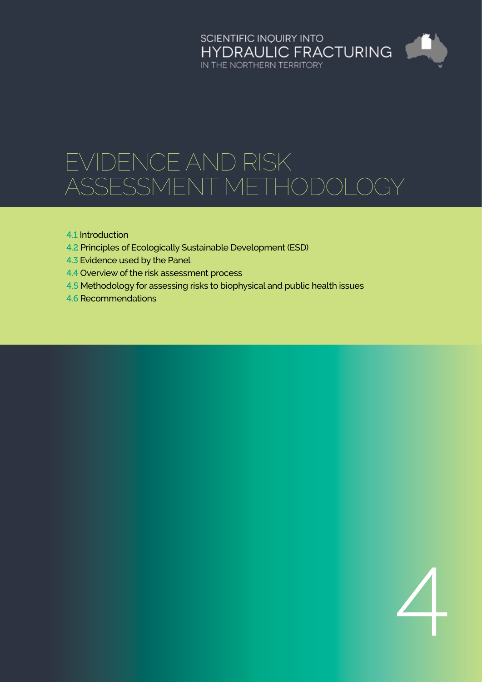# SCIENTIFIC INQUIRY INTO<br>HYDRAULIC FRACTURING<br>IN THE NORTHERN TERRITORY

# Evidence and risk ASSESSMENT METHODOLC

- 4.1 [Introduction](#page-1-0)
- 4.2 [Principles of Ecologically Sustainable Development \(ESD\)](#page-1-0)
- 4.3 [Evidence used by the Panel](#page-2-0)
- 4.4 [Overview of the risk assessment process](#page-3-0)
- 4.5 [Methodology for assessing risks to biophysical and public health issues](#page-3-0)
- 4.6 [Recommendations](#page-7-0)

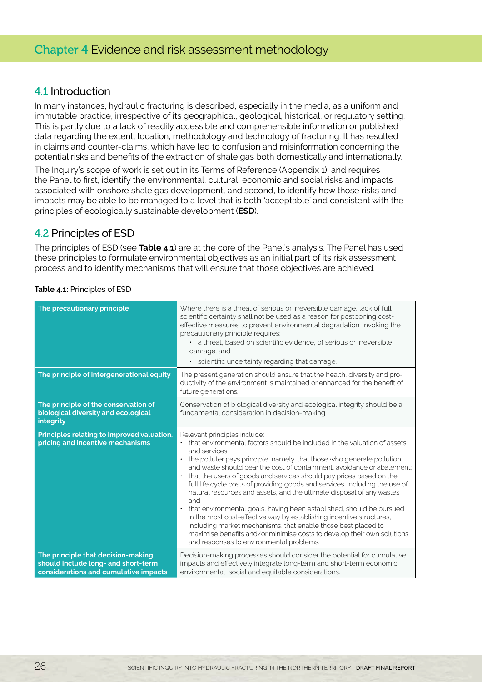#### <span id="page-1-0"></span>4.1 Introduction

In many instances, hydraulic fracturing is described, especially in the media, as a uniform and immutable practice, irrespective of its geographical, geological, historical, or regulatory setting. This is partly due to a lack of readily accessible and comprehensible information or published data regarding the extent, location, methodology and technology of fracturing. It has resulted in claims and counter-claims, which have led to confusion and misinformation concerning the potential risks and benefits of the extraction of shale gas both domestically and internationally.

The Inquiry's scope of work is set out in its Terms of Reference (Appendix 1), and requires the Panel to first, identify the environmental, cultural, economic and social risks and impacts associated with onshore shale gas development, and second, to identify how those risks and impacts may be able to be managed to a level that is both 'acceptable' and consistent with the principles of ecologically sustainable development (**ESD**).

### 4.2 Principles of ESD

The principles of ESD (see **Table 4.1**) are at the core of the Panel's analysis. The Panel has used these principles to formulate environmental objectives as an initial part of its risk assessment process and to identify mechanisms that will ensure that those objectives are achieved.

| The precautionary principle                                                                                        | Where there is a threat of serious or irreversible damage, lack of full<br>scientific certainty shall not be used as a reason for postponing cost-<br>effective measures to prevent environmental degradation. Invoking the<br>precautionary principle requires:<br>• a threat, based on scientific evidence, of serious or irreversible<br>damage; and<br>• scientific uncertainty regarding that damage.                                                                                                                                                                                                                                                                                                                                                                                                                                                                            |
|--------------------------------------------------------------------------------------------------------------------|---------------------------------------------------------------------------------------------------------------------------------------------------------------------------------------------------------------------------------------------------------------------------------------------------------------------------------------------------------------------------------------------------------------------------------------------------------------------------------------------------------------------------------------------------------------------------------------------------------------------------------------------------------------------------------------------------------------------------------------------------------------------------------------------------------------------------------------------------------------------------------------|
| The principle of intergenerational equity                                                                          | The present generation should ensure that the health, diversity and pro-<br>ductivity of the environment is maintained or enhanced for the benefit of<br>future generations.                                                                                                                                                                                                                                                                                                                                                                                                                                                                                                                                                                                                                                                                                                          |
| The principle of the conservation of<br>biological diversity and ecological<br>integrity                           | Conservation of biological diversity and ecological integrity should be a<br>fundamental consideration in decision-making.                                                                                                                                                                                                                                                                                                                                                                                                                                                                                                                                                                                                                                                                                                                                                            |
| Principles relating to improved valuation,<br>pricing and incentive mechanisms                                     | Relevant principles include:<br>that environmental factors should be included in the valuation of assets<br>$\bullet$<br>and services:<br>the polluter pays principle, namely, that those who generate pollution<br>and waste should bear the cost of containment, avoidance or abatement:<br>that the users of goods and services should pay prices based on the<br>$\bullet$<br>full life cycle costs of providing goods and services, including the use of<br>natural resources and assets, and the ultimate disposal of any wastes;<br>and<br>that environmental goals, having been established, should be pursued<br>in the most cost-effective way by establishing incentive structures,<br>including market mechanisms, that enable those best placed to<br>maximise benefits and/or minimise costs to develop their own solutions<br>and responses to environmental problems. |
| The principle that decision-making<br>should include long- and short-term<br>considerations and cumulative impacts | Decision-making processes should consider the potential for cumulative<br>impacts and effectively integrate long-term and short-term economic,<br>environmental, social and equitable considerations.                                                                                                                                                                                                                                                                                                                                                                                                                                                                                                                                                                                                                                                                                 |

#### **Table 4.1:** Principles of ESD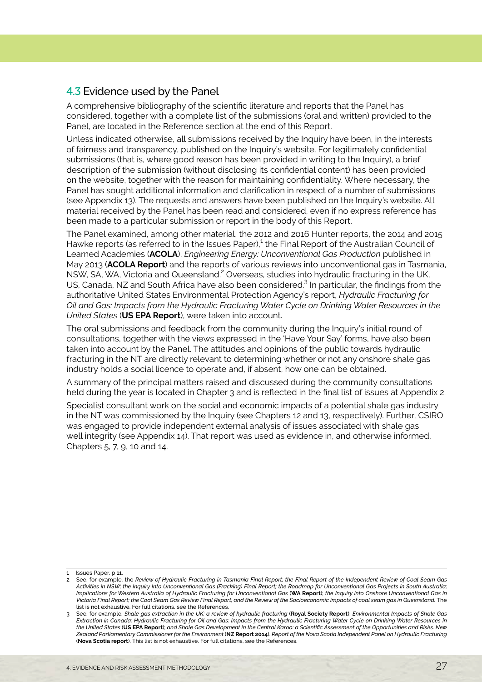# <span id="page-2-0"></span>4.3 Evidence used by the Panel

A comprehensive bibliography of the scientific literature and reports that the Panel has considered, together with a complete list of the submissions (oral and written) provided to the Panel, are located in the Reference section at the end of this Report.

Unless indicated otherwise, all submissions received by the Inquiry have been, in the interests of fairness and transparency, published on the Inquiry's website. For legitimately confidential submissions (that is, where good reason has been provided in writing to the Inquiry), a brief description of the submission (without disclosing its confidential content) has been provided on the website, together with the reason for maintaining confidentiality. Where necessary, the Panel has sought additional information and clarification in respect of a number of submissions (see Appendix 13). The requests and answers have been published on the Inquiry's website. All material received by the Panel has been read and considered, even if no express reference has been made to a particular submission or report in the body of this Report.

The Panel examined, among other material, the 2012 and 2016 Hunter reports, the 2014 and 2015 Hawke reports (as referred to in the Issues Paper), $^1$  the Final Report of the Australian Council of Learned Academies (**ACOLA**), *Engineering Energy: Unconventional Gas Production* published in May 2013 (**ACOLA Report**) and the reports of various reviews into unconventional gas in Tasmania, NSW, SA, WA, Victoria and Queensland.<sup>2</sup> Overseas, studies into hydraulic fracturing in the UK, US, Canada, NZ and South Africa have also been considered.<sup>3</sup> In particular, the findings from the authoritative United States Environmental Protection Agency's report, *Hydraulic Fracturing for Oil and Gas: Impacts from the Hydraulic Fracturing Water Cycle on Drinking Water Resources in the United States* (**US EPA Report**), were taken into account.

The oral submissions and feedback from the community during the Inquiry's initial round of consultations, together with the views expressed in the 'Have Your Say' forms, have also been taken into account by the Panel. The attitudes and opinions of the public towards hydraulic fracturing in the NT are directly relevant to determining whether or not any onshore shale gas industry holds a social licence to operate and, if absent, how one can be obtained.

A summary of the principal matters raised and discussed during the community consultations held during the year is located in Chapter 3 and is reflected in the final list of issues at Appendix 2.

Specialist consultant work on the social and economic impacts of a potential shale gas industry in the NT was commissioned by the Inquiry (see Chapters 12 and 13, respectively). Further, CSIRO was engaged to provide independent external analysis of issues associated with shale gas well integrity (see Appendix 14). That report was used as evidence in, and otherwise informed, Chapters 5, 7, 9, 10 and 14.

 $\overline{1}$  Issues Paper, p 11.

<sup>2</sup> See, for example, the *Review of Hydraulic Fracturing in Tasmania Final Report; the Final Report of the Independent Review of Coal Seam Gas Activities in NSW; the Inquiry Into Unconventional Gas (Fracking) Final Report; the Roadmap for Unconventional Gas Projects in South Australia; Implications for Western Australia of Hydraulic Fracturing for Unconventional Gas* (**WA Report**); *the Inquiry into Onshore Unconventional Gas in Victoria Final Report; the Coal Seam Gas Review Final Report; and the Review of the Socioeconomic impacts of coal seam gas in Queensland.* The list is not exhaustive. For full citations, see the References.

<sup>3</sup> See, for example, *Shale gas extraction in the UK: a review of hydraulic fracturing* (**Royal Society Report**); *Environmental Impacts of Shale Gas Extraction in Canada; Hydraulic Fracturing for Oil and Gas: Impacts from the Hydraulic Fracturing Water Cycle on Drinking Water Resources in the United States* (**US EPA Report**); *and Shale Gas Development in the Central Karoo: a Scientific Assessment of the Opportunities and Risks. New Zealand Parliamentary Commissioner for the Environment* (**NZ Report 2014**). *Report of the Nova Scotia Independent Panel on Hydraulic Fracturing* (**Nova Scotia report**). This list is not exhaustive. For full citations, see the References.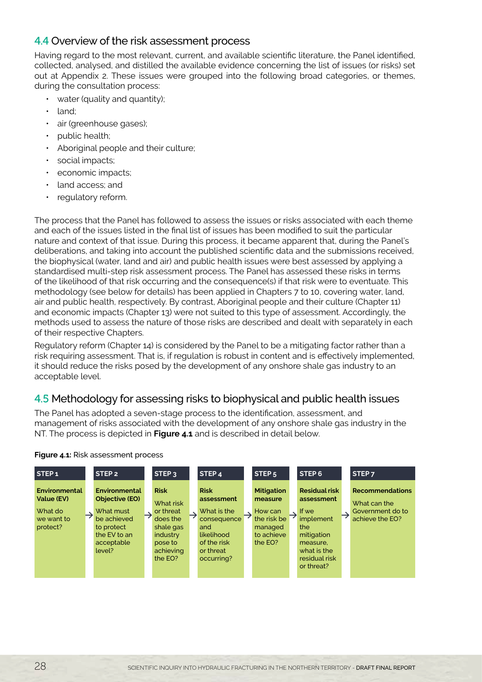# <span id="page-3-0"></span>4.4 Overview of the risk assessment process

Having regard to the most relevant, current, and available scientific literature, the Panel identified, collected, analysed, and distilled the available evidence concerning the list of issues (or risks) set out at Appendix 2. These issues were grouped into the following broad categories, or themes, during the consultation process:

- water (quality and quantity);
- land;
- air (greenhouse gases);
- public health;
- Aboriginal people and their culture;
- social impacts;
- economic impacts;
- land access; and
- regulatory reform.

The process that the Panel has followed to assess the issues or risks associated with each theme and each of the issues listed in the final list of issues has been modified to suit the particular nature and context of that issue. During this process, it became apparent that, during the Panel's deliberations, and taking into account the published scientific data and the submissions received, the biophysical (water, land and air) and public health issues were best assessed by applying a standardised multi-step risk assessment process. The Panel has assessed these risks in terms of the likelihood of that risk occurring and the consequence(s) if that risk were to eventuate. This methodology (see below for details) has been applied in Chapters 7 to 10, covering water, land, air and public health, respectively. By contrast, Aboriginal people and their culture (Chapter 11) and economic impacts (Chapter 13) were not suited to this type of assessment. Accordingly, the methods used to assess the nature of those risks are described and dealt with separately in each of their respective Chapters.

Regulatory reform (Chapter 14) is considered by the Panel to be a mitigating factor rather than a risk requiring assessment. That is, if regulation is robust in content and is effectively implemented, it should reduce the risks posed by the development of any onshore shale gas industry to an acceptable level.

# 4.5 Methodology for assessing risks to biophysical and public health issues

The Panel has adopted a seven-stage process to the identification, assessment, and management of risks associated with the development of any onshore shale gas industry in the NT. The process is depicted in **Figure 4.1** and is described in detail below.



#### **Figure 4.1:** Risk assessment process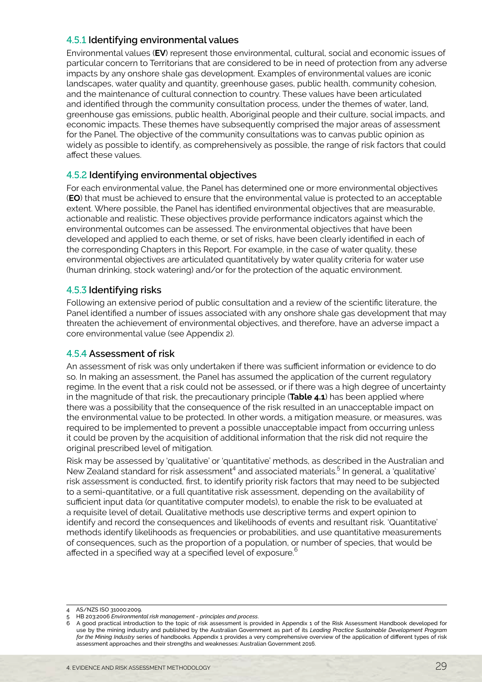#### 4.5.1 **Identifying environmental values**

Environmental values (**EV**) represent those environmental, cultural, social and economic issues of particular concern to Territorians that are considered to be in need of protection from any adverse impacts by any onshore shale gas development. Examples of environmental values are iconic landscapes, water quality and quantity, greenhouse gases, public health, community cohesion, and the maintenance of cultural connection to country. These values have been articulated and identified through the community consultation process, under the themes of water, land, greenhouse gas emissions, public health, Aboriginal people and their culture, social impacts, and economic impacts. These themes have subsequently comprised the major areas of assessment for the Panel. The objective of the community consultations was to canvas public opinion as widely as possible to identify, as comprehensively as possible, the range of risk factors that could affect these values.

#### 4.5.2 **Identifying environmental objectives**

For each environmental value, the Panel has determined one or more environmental objectives (**EO**) that must be achieved to ensure that the environmental value is protected to an acceptable extent. Where possible, the Panel has identified environmental objectives that are measurable, actionable and realistic. These objectives provide performance indicators against which the environmental outcomes can be assessed. The environmental objectives that have been developed and applied to each theme, or set of risks, have been clearly identified in each of the corresponding Chapters in this Report. For example, in the case of water quality, these environmental objectives are articulated quantitatively by water quality criteria for water use (human drinking, stock watering) and/or for the protection of the aquatic environment.

#### 4.5.3 **Identifying risks**

Following an extensive period of public consultation and a review of the scientific literature, the Panel identified a number of issues associated with any onshore shale gas development that may threaten the achievement of environmental objectives, and therefore, have an adverse impact a core environmental value (see Appendix 2).

#### 4.5.4 **Assessment of risk**

An assessment of risk was only undertaken if there was sufficient information or evidence to do so. In making an assessment, the Panel has assumed the application of the current regulatory regime. In the event that a risk could not be assessed, or if there was a high degree of uncertainty in the magnitude of that risk, the precautionary principle (**Table 4.1**) has been applied where there was a possibility that the consequence of the risk resulted in an unacceptable impact on the environmental value to be protected. In other words, a mitigation measure, or measures, was required to be implemented to prevent a possible unacceptable impact from occurring unless it could be proven by the acquisition of additional information that the risk did not require the original prescribed level of mitigation.

Risk may be assessed by 'qualitative' or 'quantitative' methods, as described in the Australian and New Zealand standard for risk assessment<sup>4</sup> and associated materials.<sup>5</sup> In general, a 'qualitative' risk assessment is conducted, first, to identify priority risk factors that may need to be subjected to a semi-quantitative, or a full quantitative risk assessment, depending on the availability of sufficient input data (or quantitative computer models), to enable the risk to be evaluated at a requisite level of detail. Qualitative methods use descriptive terms and expert opinion to identify and record the consequences and likelihoods of events and resultant risk. 'Quantitative' methods identify likelihoods as frequencies or probabilities, and use quantitative measurements of consequences, such as the proportion of a population, or number of species, that would be affected in a specified way at a specified level of exposure.<sup>6</sup>

<sup>4</sup> AS/NZS ISO 31000:2009.

<sup>5</sup> HB 203:2006 *Environmental risk management - principles and process*.

<sup>6</sup> A good practical introduction to the topic of risk assessment is provided in Appendix 1 of the Risk Assessment Handbook developed for use by the mining industry and published by the Australian Government as part of its *Leading Practice Sustainable Development Program for the Mining Industry* series of handbooks. Appendix 1 provides a very comprehensive overview of the application of different types of risk assessment approaches and their strengths and weaknesses: Australian Government 2016.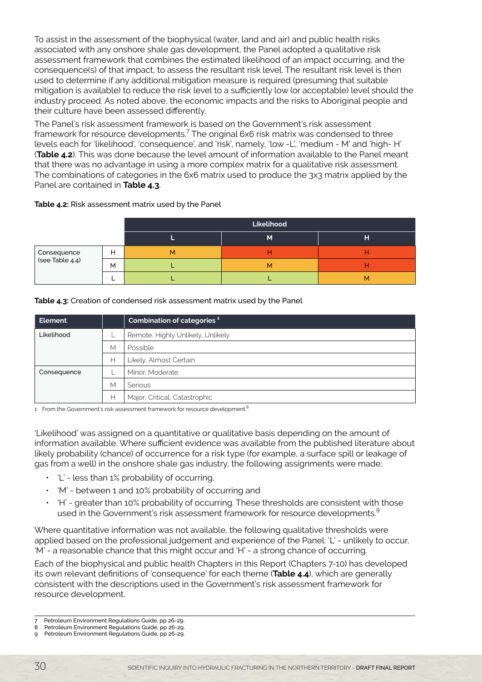To assist in the assessment of the biophysical (water, land and air) and public health risks associated with any onshore shale gas development, the Panel adopted a qualitative risk assessment framework that combines the estimated likelihood of an impact occurring, and the consequence(s) of that impact, to assess the resultant risk level. The resultant risk level is then used to determine if any additional mitigation measure is required (presuming that suitable mitigation is available) to reduce the risk level to a sufficiently low (or acceptable) level should the industry proceed. As noted above, the economic impacts and the risks to Aboriginal people and their culture have been assessed differently.

The Panel's risk assessment framework is based on the Government's risk assessment framework for resource developments. $^7$  The original 6x6 risk matrix was condensed to three levels each for 'likelihood', 'consequence', and 'risk', namely, 'low -L', 'medium - M' and 'high- H' (**Table 4.2**). This was done because the level amount of information available to the Panel meant that there was no advantage in using a more complex matrix for a qualitative risk assessment. The combinations of categories in the 6x6 matrix used to produce the 3x3 matrix applied by the Panel are contained in **Table 4.3**.

#### **Table 4.2:** Risk assessment matrix used by the Panel

|                                |   | Likelihood |   |   |
|--------------------------------|---|------------|---|---|
|                                |   |            | M | н |
| Consequence<br>(see Table 4.4) | Н | M          |   |   |
|                                | M |            | М |   |
|                                |   |            |   | м |

#### **Table 4.3:** Creation of condensed risk assessment matrix used by the Panel

| <b>Element</b> |   | Combination of categories <sup>1</sup> |  |
|----------------|---|----------------------------------------|--|
| Likelihood     |   | Remote, Highly Unlikely, Unlikely      |  |
|                | M | Possible                               |  |
|                | н | Likely, Almost Certain                 |  |
| Consequence    |   | Minor, Moderate                        |  |
|                | М | <b>Serious</b>                         |  |
|                | н | Major, Critical, Catastrophic          |  |

1 From the Government's risk assessment framework for resource development.<sup>8</sup>

'Likelihood' was assigned on a quantitative or qualitative basis depending on the amount of information available. Where sufficient evidence was available from the published literature about likely probability (chance) of occurrence for a risk type (for example, a surface spill or leakage of gas from a well) in the onshore shale gas industry, the following assignments were made:

- $\cdot$  'L' less than 1% probability of occurring,
- 'M' between 1 and 10% probability of occurring and
- 'H' greater than 10% probability of occurring. These thresholds are consistent with those used in the Government's risk assessment framework for resource developments.<sup>9</sup>

Where quantitative information was not available, the following qualitative thresholds were applied based on the professional judgement and experience of the Panel: 'L' - unlikely to occur, 'M' - a reasonable chance that this might occur and 'H' - a strong chance of occurring.

Each of the biophysical and public health Chapters in this Report (Chapters 7-10) has developed its own relevant definitions of 'consequence' for each theme (**Table 4.4**), which are generally consistent with the descriptions used in the Government's risk assessment framework for resource development.

<sup>7</sup> Petroleum Environment Regulations Guide, pp 26-29.

<sup>8</sup> Petroleum Environment Regulations Guide, pp 26-29.

Petroleum Environment Regulations Guide, pp 26-29.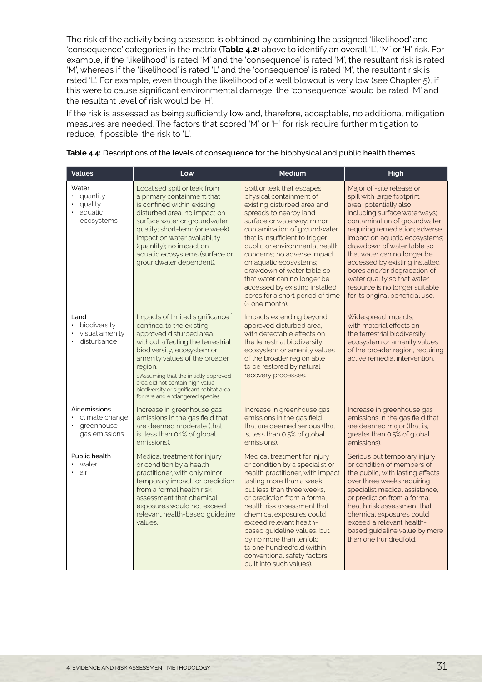The risk of the activity being assessed is obtained by combining the assigned 'likelihood' and 'consequence' categories in the matrix (**Table 4.2**) above to identify an overall 'L', 'M' or 'H' risk. For example, if the 'likelihood' is rated 'M' and the 'consequence' is rated 'M', the resultant risk is rated 'M', whereas if the 'likelihood' is rated 'L' and the 'consequence' is rated 'M', the resultant risk is rated 'L'. For example, even though the likelihood of a well blowout is very low (see Chapter 5), if this were to cause significant environmental damage, the 'consequence' would be rated 'M' and the resultant level of risk would be 'H'.

If the risk is assessed as being sufficiently low and, therefore, acceptable, no additional mitigation measures are needed. The factors that scored 'M' or 'H' for risk require further mitigation to reduce, if possible, the risk to 'L'.

| <b>Values</b>                                                      | Low                                                                                                                                                                                                                                                                                                                                                                              | <b>Medium</b>                                                                                                                                                                                                                                                                                                                                                                                                                                                   | High                                                                                                                                                                                                                                                                                                                                                                                                                                                    |
|--------------------------------------------------------------------|----------------------------------------------------------------------------------------------------------------------------------------------------------------------------------------------------------------------------------------------------------------------------------------------------------------------------------------------------------------------------------|-----------------------------------------------------------------------------------------------------------------------------------------------------------------------------------------------------------------------------------------------------------------------------------------------------------------------------------------------------------------------------------------------------------------------------------------------------------------|---------------------------------------------------------------------------------------------------------------------------------------------------------------------------------------------------------------------------------------------------------------------------------------------------------------------------------------------------------------------------------------------------------------------------------------------------------|
| Water<br>quantity<br>quality<br>aquatic<br>$\bullet$<br>ecosystems | Localised spill or leak from<br>a primary containment that<br>is confined within existing<br>disturbed area; no impact on<br>surface water or groundwater<br>quality; short-term (one week)<br>impact on water availability<br>(quantity); no impact on<br>aquatic ecosystems (surface or<br>groundwater dependent).                                                             | Spill or leak that escapes<br>physical containment of<br>existing disturbed area and<br>spreads to nearby land<br>surface or waterway; minor<br>contamination of groundwater<br>that is insufficient to trigger<br>public or environmental health<br>concerns; no adverse impact<br>on aquatic ecosystems;<br>drawdown of water table so<br>that water can no longer be<br>accessed by existing installed<br>bores for a short period of time<br>(~ one month). | Major off-site release or<br>spill with large footprint<br>area, potentially also<br>including surface waterways;<br>contamination of groundwater<br>requiring remediation; adverse<br>impact on aquatic ecosystems;<br>drawdown of water table so<br>that water can no longer be<br>accessed by existing installed<br>bores and/or degradation of<br>water quality so that water<br>resource is no longer suitable<br>for its original beneficial use. |
| Land<br>biodiversity<br>$\bullet$<br>visual amenity<br>disturbance | Impacts of limited significance <sup>1</sup><br>confined to the existing<br>approved disturbed area,<br>without affecting the terrestrial<br>biodiversity, ecosystem or<br>amenity values of the broader<br>region.<br>1 Assuming that the initially approved<br>area did not contain high value<br>biodiversity or significant habitat area<br>for rare and endangered species. | Impacts extending beyond<br>approved disturbed area,<br>with detectable effects on<br>the terrestrial biodiversity.<br>ecosystem or amenity values<br>of the broader region able<br>to be restored by natural<br>recovery processes.                                                                                                                                                                                                                            | Widespread impacts,<br>with material effects on<br>the terrestrial biodiversity.<br>ecosystem or amenity values<br>of the broader region, requiring<br>active remedial intervention.                                                                                                                                                                                                                                                                    |
| Air emissions<br>climate change<br>greenhouse<br>gas emissions     | Increase in greenhouse gas<br>emissions in the gas field that<br>are deemed moderate (that<br>is, less than 0.1% of global<br>emissions).                                                                                                                                                                                                                                        | Increase in greenhouse gas<br>emissions in the gas field<br>that are deemed serious (that<br>is, less than 0.5% of global<br>emissions).                                                                                                                                                                                                                                                                                                                        | Increase in greenhouse gas<br>emissions in the gas field that<br>are deemed major (that is,<br>greater than 0.5% of global<br>emissions).                                                                                                                                                                                                                                                                                                               |
| Public health<br>water<br>air<br>$\bullet$                         | Medical treatment for injury<br>or condition by a health<br>practitioner, with only minor<br>temporary impact, or prediction<br>from a formal health risk<br>assessment that chemical<br>exposures would not exceed<br>relevant health-based guideline<br>values.                                                                                                                | Medical treatment for injury<br>or condition by a specialist or<br>health practitioner, with impact<br>lasting more than a week<br>but less than three weeks.<br>or prediction from a formal<br>health risk assessment that<br>chemical exposures could<br>exceed relevant health-<br>based guideline values, but<br>by no more than tenfold<br>to one hundredfold (within<br>conventional safety factors<br>built into such values).                           | Serious but temporary injury<br>or condition of members of<br>the public, with lasting effects<br>over three weeks requiring<br>specialist medical assistance,<br>or prediction from a formal<br>health risk assessment that<br>chemical exposures could<br>exceed a relevant health-<br>based guideline value by more<br>than one hundredfold.                                                                                                         |

**Table 4.4:** Descriptions of the levels of consequence for the biophysical and public health themes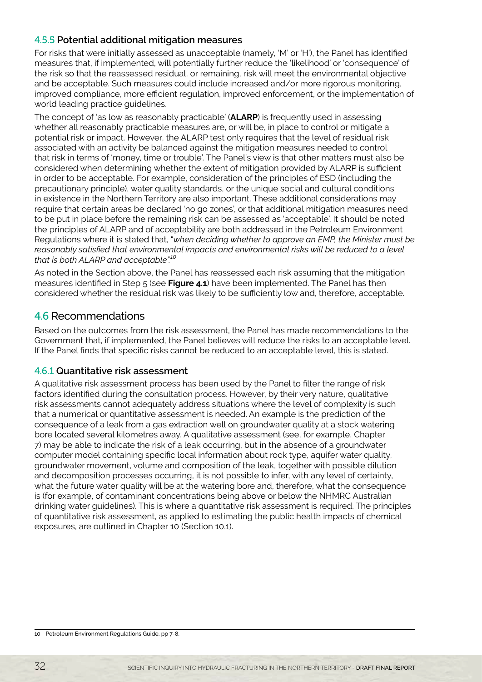#### <span id="page-7-0"></span>4.5.5 **Potential additional mitigation measures**

For risks that were initially assessed as unacceptable (namely, 'M' or 'H'), the Panel has identified measures that, if implemented, will potentially further reduce the 'likelihood' or 'consequence' of the risk so that the reassessed residual, or remaining, risk will meet the environmental objective and be acceptable. Such measures could include increased and/or more rigorous monitoring, improved compliance, more efficient regulation, improved enforcement, or the implementation of world leading practice quidelines.

The concept of 'as low as reasonably practicable' (**ALARP**) is frequently used in assessing whether all reasonably practicable measures are, or will be, in place to control or mitigate a potential risk or impact. However, the ALARP test only requires that the level of residual risk associated with an activity be balanced against the mitigation measures needed to control that risk in terms of 'money, time or trouble'. The Panel's view is that other matters must also be considered when determining whether the extent of mitigation provided by ALARP is sufficient in order to be acceptable. For example, consideration of the principles of ESD (including the precautionary principle), water quality standards, or the unique social and cultural conditions in existence in the Northern Territory are also important. These additional considerations may require that certain areas be declared 'no go zones', or that additional mitigation measures need to be put in place before the remaining risk can be assessed as 'acceptable'. It should be noted the principles of ALARP and of acceptability are both addressed in the Petroleum Environment Regulations where it is stated that, "*when deciding whether to approve an EMP, the Minister must be reasonably satisfied that environmental impacts and environmental risks will be reduced to a level that is both ALARP and acceptable".10*

As noted in the Section above, the Panel has reassessed each risk assuming that the mitigation measures identified in Step 5 (see **Figure 4.1**) have been implemented. The Panel has then considered whether the residual risk was likely to be sufficiently low and, therefore, acceptable.

## 4.6 Recommendations

Based on the outcomes from the risk assessment, the Panel has made recommendations to the Government that, if implemented, the Panel believes will reduce the risks to an acceptable level. If the Panel finds that specific risks cannot be reduced to an acceptable level, this is stated.

#### 4.6.1 **Quantitative risk assessment**

A qualitative risk assessment process has been used by the Panel to filter the range of risk factors identified during the consultation process. However, by their very nature, qualitative risk assessments cannot adequately address situations where the level of complexity is such that a numerical or quantitative assessment is needed. An example is the prediction of the consequence of a leak from a gas extraction well on groundwater quality at a stock watering bore located several kilometres away. A qualitative assessment (see, for example, Chapter 7) may be able to indicate the risk of a leak occurring, but in the absence of a groundwater computer model containing specific local information about rock type, aquifer water quality, groundwater movement, volume and composition of the leak, together with possible dilution and decomposition processes occurring, it is not possible to infer, with any level of certainty, what the future water quality will be at the watering bore and, therefore, what the consequence is (for example, of contaminant concentrations being above or below the NHMRC Australian drinking water guidelines). This is where a quantitative risk assessment is required. The principles of quantitative risk assessment, as applied to estimating the public health impacts of chemical exposures, are outlined in Chapter 10 (Section 10.1).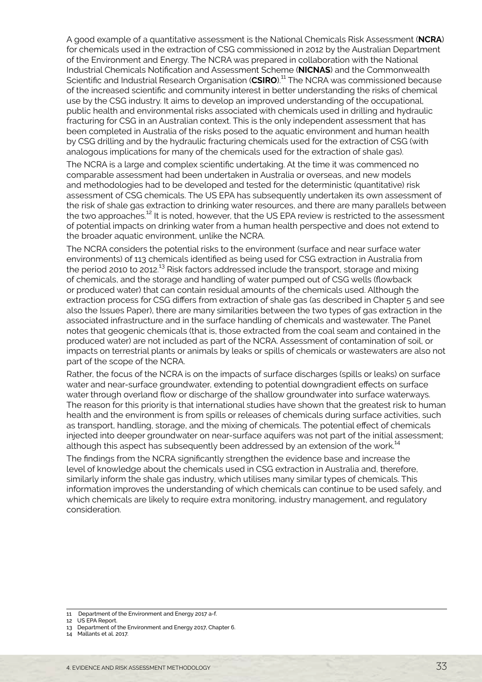A good example of a quantitative assessment is the National Chemicals Risk Assessment (**NCRA**) for chemicals used in the extraction of CSG commissioned in 2012 by the Australian Department of the Environment and Energy. The NCRA was prepared in collaboration with the National Industrial Chemicals Notification and Assessment Scheme (**NICNAS**) and the Commonwealth Scientific and Industrial Research Organisation (**CSIRO**).11 The NCRA was commissioned because of the increased scientific and community interest in better understanding the risks of chemical use by the CSG industry. It aims to develop an improved understanding of the occupational, public health and environmental risks associated with chemicals used in drilling and hydraulic fracturing for CSG in an Australian context. This is the only independent assessment that has been completed in Australia of the risks posed to the aquatic environment and human health by CSG drilling and by the hydraulic fracturing chemicals used for the extraction of CSG (with analogous implications for many of the chemicals used for the extraction of shale gas).

The NCRA is a large and complex scientific undertaking. At the time it was commenced no comparable assessment had been undertaken in Australia or overseas, and new models and methodologies had to be developed and tested for the deterministic (quantitative) risk assessment of CSG chemicals. The US EPA has subsequently undertaken its own assessment of the risk of shale gas extraction to drinking water resources, and there are many parallels between the two approaches.<sup>12</sup> It is noted, however, that the US EPA review is restricted to the assessment of potential impacts on drinking water from a human health perspective and does not extend to the broader aquatic environment, unlike the NCRA.

The NCRA considers the potential risks to the environment (surface and near surface water environments) of 113 chemicals identified as being used for CSG extraction in Australia from the period 2010 to 2012.<sup>13</sup> Risk factors addressed include the transport, storage and mixing of chemicals, and the storage and handling of water pumped out of CSG wells (flowback or produced water) that can contain residual amounts of the chemicals used. Although the extraction process for CSG differs from extraction of shale gas (as described in Chapter 5 and see also the Issues Paper), there are many similarities between the two types of gas extraction in the associated infrastructure and in the surface handling of chemicals and wastewater. The Panel notes that geogenic chemicals (that is, those extracted from the coal seam and contained in the produced water) are not included as part of the NCRA. Assessment of contamination of soil, or impacts on terrestrial plants or animals by leaks or spills of chemicals or wastewaters are also not part of the scope of the NCRA.

Rather, the focus of the NCRA is on the impacts of surface discharges (spills or leaks) on surface water and near-surface groundwater, extending to potential downgradient effects on surface water through overland flow or discharge of the shallow groundwater into surface waterways. The reason for this priority is that international studies have shown that the greatest risk to human health and the environment is from spills or releases of chemicals during surface activities, such as transport, handling, storage, and the mixing of chemicals. The potential effect of chemicals injected into deeper groundwater on near-surface aquifers was not part of the initial assessment; although this aspect has subsequently been addressed by an extension of the work.<sup>14</sup>

The findings from the NCRA significantly strengthen the evidence base and increase the level of knowledge about the chemicals used in CSG extraction in Australia and, therefore, similarly inform the shale gas industry, which utilises many similar types of chemicals. This information improves the understanding of which chemicals can continue to be used safely, and which chemicals are likely to require extra monitoring, industry management, and regulatory consideration.

12 US EPA Report.

14 Mallants et al. 2017.

<sup>11</sup> Department of the Environment and Energy 2017 a-f.

<sup>13</sup> Department of the Environment and Energy 2017, Chapter 6.